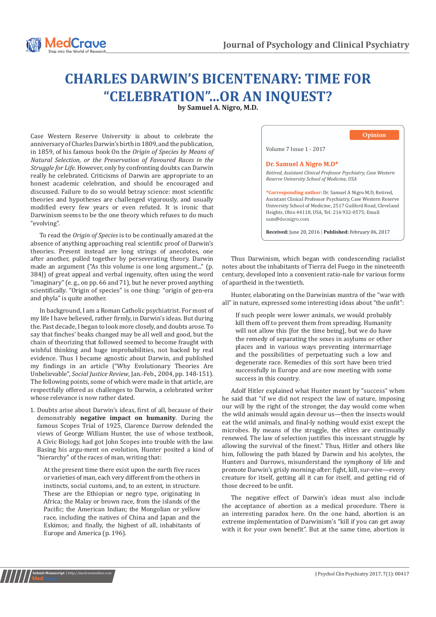

# **CHARLES DARWIN'S BICENTENARY: TIME FOR "CELEBRATION"...OR AN INQUEST?**

**by Samuel A. Nigro, M.D.**

Case Western Reserve University is about to celebrate the anniversary of Charles Darwin's birth in 1809, and the publication, in 1859, of his famous book On the *Origin of Species by Means of Natural Selection, or the Preservation of Favoured Races in the Struggle for Life*. However, only by confronting doubts can Darwin really he celebrated. Criticisms of Darwin are appropriate to an honest academic celebration, and should be encouraged and discussed. Failure to do so would betray science: most scientific theories and hypotheses are challenged vigorously, and usually modified every few years or even refuted. It is ironic that Darwinism seems to be the one theory which refuses to do much "evolving".

after another, pulled together by perseverating theory. Darwin made an argument ("As this volume is one long argument..." (p. 384J) of great appeal and verbal ingenuity, often using the word "imaginary" (e. g., on pp. 66 and 71), but he never proved anything scientifically. "Origin of species" is one thing: "origin of gen-era and phyla" is quite another. To read the *Origin of Species* is to be continually amazed at the absence of anything approaching real scientific proof of Darwin's theories. Present instead are long strings of anecdotes, one

In background, I am a Roman Catholic psychiatrist. For most of my life I have believed, rather firmly, in Darwin's ideas. But during the. Past decade, I began to look more closely, and doubts arose. To say that finches' beaks changed may be all well and good, but the chain of theorizing that followed seemed to become fraught with wishful thinking and huge improbabilities, not backed by real evidence. Thus I became agnostic about Darwin, and published my findings in an article ("Why Evolutionary Theories Are Unbelievable", *Social Justice Review*, Jan.-Feb., 2004, pp. 148-151). The following points, some of which were made in that article, are respectfully offered as challenges to Darwin, a celebrated writer whose relevance is now rather dated.

1. Doubts arise about Darwin's ideas, first of all, because of their demonstrably **negative impact on humanity**. During the famous Scopes Trial of 1925, Clarence Darrow defended the views of George William Hunter, the use of whose textbook, A Civic Biology, had got John Scopes into trouble with the law. Basing his argu-ment on evolution, Hunter posited a kind of "hierarchy" of the races of man, writing that:

At the present time there exist upon the earth five races or varieties of man, each very different from the others in instincts, social customs, and, to an extent, in structure. These are the Ethiopian or negro type, originating in Africa; the Malay or brown race, from the islands of the Pacific; the American Indian; the Mongolian or yellow race, including the natives of China and Japan and the Eskimos; and finally, the highest of all, inhabitants of Europe and America (p. 196).

**Submit Manuscript** | http://medcraveonline.com

**Opinion**

Volume 7 Issue 1 - 2017

#### Dr. Samuel A Nigro M.D\*

*Retired, Assistant Clinical Professor Psychiatry, Case Western Reserve University School of Medicine, USA*

**\*Corresponding author:** Dr. Samuel A Nigro M.D, Retired, Assistant Clinical Professor Psychiatry, Case Western Reserve University School of Medicine, 2517 Guilford Road, Cleveland Heights, Ohio 44118, USA, Tel: 216 932-0575; Email:

**Received:** June 20, 2016 **| Published:** February 06, 2017

Thus Darwinism, which began with condescending racialist notes about the inhabitants of Tierra del Fuego in the nineteenth century, developed into a convenient ratio-nale for various forms of apartheid in the twentieth.

Hunter, elaborating on the Darwinian mantra of the "war with all" in nature, expressed some interesting ideas about "the unfit":

If such people were lower animals, we would probably kill them off to prevent them from spreading. Humanity will not allow this [for the time being], but we do have the remedy of separating the sexes in asylums or other places and in various ways preventing intermarriage and the possibilities of perpetuating such a low and degenerate race. Remedies of this sort have been tried successfully in Europe and are now meeting with some success in this country.

Adolf Hitler explained what Hunter meant by "success" when he said that "if we did not respect the law of nature, imposing our will by the right of the stronger, the day would come when the wild animals would again devour us—then the insects would eat the wild animals, and final-ly nothing would exist except the microbes. By means of the struggle, the elites are continually renewed. The law of selection justifies this incessant struggle by allowing the survival of the finest." Thus, Hitler and others like him, following the path blazed by Darwin and his acolytes, the Hunters and Darrows, misunderstand the symphony of life and promote Darwin's grisly morning-after: fight, kill, sur-vive—every creature for itself, getting all it can for itself, and getting rid of those decreed to be unfit.

The negative effect of Darwin's ideas must also include the acceptance of abortion as a medical procedure. There is an interesting paradox here. On the one hand, abortion is an extreme implementation of Darwinism's "kill if you can get away with it for your own benefit". But at the same time, abortion is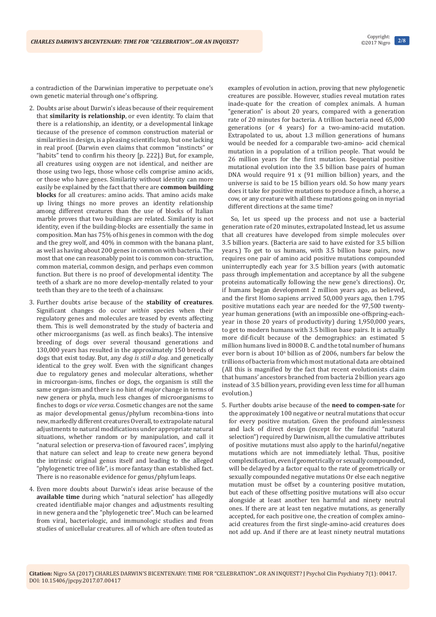a contradiction of the Darwinian imperative to perpetuate one's own genetic material through one's offspring.

- 2. Doubts arise about Darwin's ideas because of their requirement that **similarity is relationship**, or even identity. To claim that there is a relationship, an identity, or a developmental linkage tiecause of the presence of common construction material or similarities in design, is a pleasing scientific leap, but one lacking in real proof. (Darwin even claims that common "instincts" or "habits" tend to confirm his theory [p. 222].) But, for example, all creatures using oxygen are not identical, and neither are those using two legs, those whose cells comprise amino acids, or those who have genes. Similarity without identity can more easily be explained by the fact that there are **common building blocks** for all creatures: amino acids. That amino acids make up living things no more proves an identity relationship among different creatures than the use of blocks of Italian marble proves that two buildings are related. Similarity is not identity, even if the building-blocks are essentially the same in composition. Man has 75% of his genes in common with the dog and the grey wolf, and 40% in common with the banana plant, as well as having about 200 genes in common with bacteria. The most that one can reasonably point to is common con-struction, common material, common design, and perhaps even common function. But there is no proof of developmental identity. The teeth of a shark are no more develop-mentally related to your teeth than they are to the teeth of a chainsaw.
- 3. Further doubts arise because of the **stability of creatures**. Significant changes do occur *within* species when their regulatory genes and molecules are teased by events affecting them. This is well demonstrated by the study of bacteria and other microorganisms (as well. as finch beaks). The intensive breeding of dogs over several thousand generations and 130,000 years has resulted in the approximately 150 breeds of dogs that exist today. But, any *dog is still a dog*. and genetically identical to the grey wolf. Even with the significant changes due to regulatory genes and molecular alterations, whether in microorgan-isms, finches or dogs, the organism is still the same organ-ism and there is no hint of *major* change in terms of new genera or phyla, much less changes of microorganisms to finches to dogs or *vice versa*. Cosmetic changes are not the same as major developmental genus/phylum recombina-tions into new, markedly different creatures Overall, to extrapolate natural adjustments to natural modifications under appropriate natural situations, whether random or by manipulation, and call it "natural selection or preserva-tion of favoured races", implying that nature can select and leap to create new genera beyond the intrinsic original genus itself and leading to the alleged "phylogenetic tree of life", is more fantasy than established fact. There is no reasonable evidence for genus/phylum leaps.
- 4. Even more doubts about Darwin's ideas arise because of the **available time** during which "natural selection" has allegedly created identifiable major changes and adjustments resulting in new genera and the "phylogenetic tree". Much can be learned from viral, bacteriologic, and immunologic studies and from studies of unicellular creatures. all of which are often touted as

examples of evolution in action, proving that new phylogenetic creatures are possible. However, studies reveal mutation rates inade-quate for the creation of complex animals. A human "generation" is about 20 years, compared with a generation rate of 20 minutes for bacteria. A trillion bacteria need 65,000 generations (or 4 years) for a two-amino-acid mutation. Extrapolated to us, about 1.3 million generations of humans would be needed for a comparable two-amino- acid chemical mutation in a population of a trillion people. That would be 26 million years for the first mutation. Sequential positive mutational evolution into the 3.5 billion base pairs of human DNA would require 91 x (91 million billion) years, and the universe is said to be 15 billion years old. So how many years does it take for positive mutations to produce a finch, a horse, a cow, or any creature with all these mutations going on in myriad different directions at the same time?

So, let us speed up the process and not use a bacterial generation rate of 20 minutes, extrapolated Instead, let us assume that all creatures have developed from simple molecules over 3.5 billion years. (Bacteria are said to have existed for 3.5 billion years.) To get to us humans, with 3.5 billion base pairs, now requires one pair of amino acid positive mutations compounded uninterruptedly each year for 3.5 billion years (with automatic pass through implementation and acceptance by all the subgene proteins automatically following the new gene's directions). Or, if humans began development 2 million years ago, as believed, and the first Homo sapiens arrived 50,000 years ago, then 1.795 positive mutations each year are needed for the 97,500 twentyyear human generations (with an impossible one-offspring-eachyear in those 20 years of productivity) during 1,950,000 years, to get to modern humans with 3.5 billion base pairs. It is actually more dif-ficult because of the demographics: an estimated 5 million humans lived in 8000 B. C. and the total number of humans ever born is about  $10^{\circ}$  billion as of 2006, numbers far below the trillions of bacteria from which most mutational data are obtained (All this is magnified by the fact that recent evolutionists claim that humans' ancestors branched from bacteria 2 billion years ago instead of 3.5 billion years, providing even less time for all human evolution.)

5. Further doubts arise because of the **need to compen-sate** for the approximately 100 negative or neutral mutations that occur for every positive mutation. Given the profound aimlessness and lack of direct design (except for the fanciful "natural selection") required by Darwinism, all the cumulative attributes of positive mutations must also apply to the harinful/negative mutations which are not immediately lethal. Thus, positive complexification, even if geometrically or sexually compounded, will be delayed by a factor equal to the rate of geometrically or sexually compounded negative mutations Or else each negative mutation must be offset by a countering positive mutation, but each of these offsetting positive mutations will also occur alongside at least another ten harmful and ninety neutral ones. If there are at least ten negative mutations, as generally accepted, for each positive one, the creation of complex aminoacid creatures from the first single-amino-acid creatures does not add up. And if there are at least ninety neutral mutations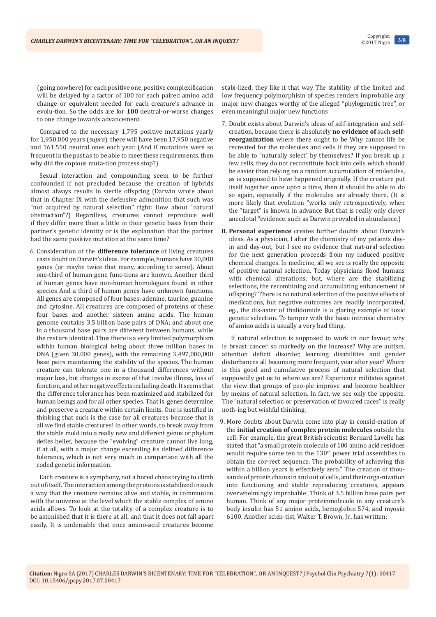(going nowhere) for each positive one, positive complexification will be delayed by a factor of 100 for each paired amino acid change or equivalent needed for each creature's advance in evolu-tion. So the odds are for **100** neutral-or-worse changes to one change towards advancement.

Compared to the necessary 1,795 positive mutations yearly for 1,950,000 years (*supra*), there will have been 17,950 negative and 161,550 neutral ones each year. (And if mutations were so frequent in the past as to be able to meet these requirements, then why did the copious muta-tion process stop?)

Sexual interaction and compounding seem to be further confounded if not precluded because the creation of hybrids almost always results in sterile offspring (Darwin wrote about that in Chapter IX with the defensive admonition that such was "not acquired by natural selection" right: How about "natural obstruction"?) Regardless, creatures cannot reproduce well if they differ more than a little in their genetic basis from their partner's genetic identity or is the explanation that the partner had the same positive mutation at the same time?

6. Consideration of the **difference tolerance** of living creatures casts doubt on Darwin's ideas. For example, humans have 30,000 genes (or maybe twice that many, according to some). About one-third of human gene func-tions are known. Another third of human genes have non-human homologues found in other species And a third of human genes have unknown functions. All genes are composed of four bases: adenine, taurine, guanine and cytosine. All creatures are composed of proteins of these four bases and another sixteen amino acids. The human genome contains 3.5 billion base pairs of DNA; and about one in a thousand base pairs are different between humans, while the rest are identical. Thus there is a very limited polymorphism within human biological being about three million bases in DNA (given 30,000 genes), with the remaining 3,497,000,000 base pairs maintaining the stability of the species. The human creature can tolerate one in a thousand differences without major loss, but changes in excess of that involve illness, loss of function, and other negative effects including death. It seems that the difference tolerance has been maximized and stabilized for human beings and for all other species. That is, genes determine and preserve a creature within certain limits. One is justified in thinking that such is the case for all creatures because that is all we find stable creatures! In other words, to break away from the stable mold into a really new and different genus or phylum defies belief, because the "evolving" creature cannot live long, if at all, with a major change exceeding its defined difference tolerance, which is not very much in comparison with all the coded genetic information.

Each creature is a symphony, not a bored chaos trying to climb out of itself. The interaction among the proteins is stabilized in such a way that the creature remains alive and viable, in communion with the universe at the level which the stable complex of amino acids allows. To look at the totality of a complex creature is to be astonished that it is there at all, and that it does not fall apart easily. It is undeniable that once amino-acid creatures become stabi-lized, they like it that way The stability of the limited and low frequency polymorphism of species renders improbable any major new changes worthy of the alleged "phylogenetic tree", or even meaningful major new functions

- 7. Doubt exists about Darwin's ideas of self-integration and selfcreation, because there is absolutely **no evidence of** such **selfreorganization** where there ought to be Why cannot life be recreated for the molecules and cells if they are supposed to be able to "naturally select" by themselves? If you break up a few cells, they do not reconstitute back into cells which should be easier than relying on a random accumulation of molecules, as is supposed to have happened originally. If the creature put itself together once upon a time, then it should be able to do so again, especially if the molecules are already there. (It is more likely that evolution "works only retrospectively, when the "target" is known in advance But that is really only clever anecdotal "evidence. such as Darwin provided in abundance.)
- **8. Personal experience** creates further doubts about Darwin's ideas. As a physician, I alter the chemistry of my patients dayin and day-out, but I see no evidence that nat-ural selection for the next generation proceeds from my induced positive chemical changes. In medicine, all we see is really the opposite of positive natural selection. Today physicians flood humans with chemical alterations; but, where are the stabilizing selections, the recombining and accumulating enhancement of offspring? There is no natural selection of the positive effects of medications, but negative outcomes are readily incorporated, eg., the dis-aster of thalidomide is a glaring example of toxic genetic selection. To tamper with the basic intrinsic chemistry of amino acids is usually a very bad thing.

If natural selection is supposed to work in our favour, why is breast cancer so markedly on the increase? Why are autism, attention deficit disorder, learning disabilities and gender disturbances all becoming more frequent, year after year? Where is this good and cumulative process of natural selection that supposedly got us to where we are? Experience militates against the view that groups of peo-ple improve and become healthier by means of natural selection. In fact, we see only the opposite. The "natural selection or preservation of favoured races" is really noth-ing but wishful thinking.

9. More doubts about Darwin come into play in consid-eration of the **initial creation of complex protein molecules** outside the cell. For example, the great British scientist Bernard Lavelle has stated that "a small protein molecule of 100 amino acid residues would require some ten to the 130<sup>th</sup> power trial assemblies to obtain the cor-rect sequence. The probability of achieving this within a billion years is effectively zero." The creation of thousands of protein chains in and out of cells, and their orga-nization into functioning and stable reproducing creatures, appears overwhelmingly improbable\_ Think of 3.5 billion base pairs per human. Think of any major proteinmolecule in any creature's body insulin has 51 amino acids, hemoglobin 574, and myosin 6100. Another scien-tist, Walter T. Brown, Jr., has written: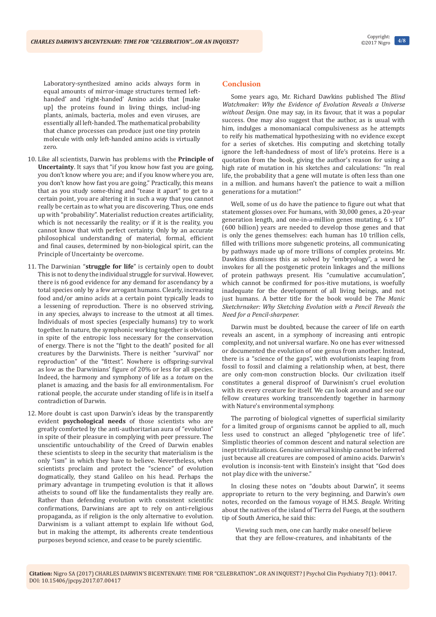Laboratory-synthesized amino acids always form in equal amounts of mirror-image structures termed lefthanded' and `right-handed' Amino acids that [make up] the proteins found in living things, includ-ing plants, animals, bacteria, moles and even viruses, are essentially all left-handed. The mathematical probability that chance processes can produce just one tiny protein molecule with only left-handed amino acids is virtually zero.

- 10. Like all scientists, Darwin has problems with the **Principle of Uncertainty**. It says that "if you know how fast you are going, you don't know where you are; and if you know where you are, you don't know how fast you are going." Practically, this means that as you study some-thing and "tease it apart" to get to a certain point, you are altering it in such a way that you cannot really be certain as to what you are discovering. Thus, one ends up with "probability". Materialist reduction creates artificiality, which is not necessarily the reality; or if it is the reality, you cannot know that with perfect certainty. Only by an accurate philosophical understanding of material, formal, efficient and final causes, determined by non-biological spirit, can the Principle of Uncertainty be overcome.
- 11. The Darwinian "**struggle for life**" is certainly open to doubt This is not to deny the individual struggle for survival. However, there is n6 good evidence for any demand for ascendancy by a total species only by a few arrogant humans. Clearly, increasing food and/or amino acids at a certain point typically leads to a lessening of reproduction. There is no observed striving, in any species, always to increase to the utmost at all times. Individuals of most species (especially humans) try to work together. In nature, the symphonic working together is obvious, in spite of the entropic loss necessary for the conservation of energy. There is not the "fight to the death" posited for all creatures by the Darwinists. There is neither "survival" nor reproduction" of the "fittest". Nowhere is offspring-survival as low as the Darwinians' figure of 20% or less for all species. Indeed, the harmony and symphony of life as a *totum* on the planet is amazing, and the basis for all environmentalism. For rational people, the accurate under standing of life is in itself a contradiction of Darwin.
- 12. More doubt is cast upon Darwin's ideas by the transparently evident **psychological needs** of those scientists who are greatly comforted by the anti-authoritarian aura of "evolution" in spite of their pleasure in complying with peer pressure. The unscientific untouchability of the Creed of Darwin enables these scientists to sleep in the security that materialism is the only "ism" in which they have to believe. Nevertheless, when scientists proclaim and protect the "science" of evolution dogmatically, they stand Galileo on his head. Perhaps the primary advantage in trumpeting evolution is that it allows atheists to sound off like the fundamentalists they really are. Rather than defending evolution with consistent scientific confirmations, Darwinians are apt to rely on anti-religious propaganda, as if religion is the only alternative to evolution. Darwinism is a valiant attempt to explain life without God, but in making the attempt, its adherents create tendentious purposes beyond science, and cease to be purely scientific.

#### **Conclusion**

Some years ago, Mr. Richard Dawkins published The *Blind Watchmaker: Why the Evidence of Evolution Reveals a Universe without Design*. One may say, in its favour, that it was a popular success. One may also suggest that the author, as is usual with him, indulges a monomaniacal compulsiveness as he attempts to reify his mathematical hypothesizing with no evidence except for a series of sketches. His computing and sketching totally ignore the left-handedness of most of life's proteins. Here is a quotation from the book, giving the author's reason for using a high rate of mutation in his sketches and calculations: "In real life, the probability that a gene will mutate is often less than one in a million. and humans haven't the patience to wait a million generations for a mutation!"

Well, some of us do have the patience to figure out what that statement glosses over. For humans, with 30,000 genes, a 20-year generation length, and one-in-a-million genes mutating, 6 x 10" (600 billion) years are needed to develop those genes and that is only the genes themselves: each human has 10 trillion cells, filled with trillions more subgenetic proteins, all communicating by pathways made up of more trillions of complex proteins. Mr. Dawkins dismisses this as solved by "embryology", a word he invokes for all the postgenetic protein linkages and the millions of protein pathways present. His "cumulative accumulation", which cannot be confirmed for pos-itive mutations, is woefully inadequate for the development of all living beings, and not just humans. A better title for the book would be *The Manic Sketchrnaker: Why Sketching Evolution with a Pencil Reveals the Need for a Pencil-sharpener.*

Darwin must be doubted, because the career of life on earth reveals an ascent, in a symphony of increasing anti entropic complexity, and not universal warfare. No one has ever witnessed or documented the evolution of one genus from another. Instead, there is a "science of the gaps", with evolutionists leaping from fossil to fossil and claiming a relationship when, at best, there are only com-mon construction blocks. Our civilization itself constitutes a general disproof of Darwinism's cruel evolution with its every creature for itself. We can look around and see our fellow creatures working transcendently together in harmony with Nature's environmental symphony.

The parroting of biological vignettes of superficial similarity for a limited group of organisms cannot be applied to all, much less used to construct an alleged "phylogenetic tree of life". Simplistic theories of common descent and natural selection are inept trivializations. Genuine universal kinship cannot be inferred just because all creatures are composed of amino acids. Darwin's evolution is inconsis-tent with Einstein's insight that "God does not play dice with the universe."

In closing these notes on "doubts about Darwin", it seems appropriate to return to the very beginning, and Darwin's *own* notes, recorded on the famous voyage of H.M.S. *Beagle*. Writing about the natives of the island of Tierra del Fuego, at the southern tip of South America, he said this:

Viewing such men, one can hardly make oneself believe that they are fellow-creatures, and inhabitants of the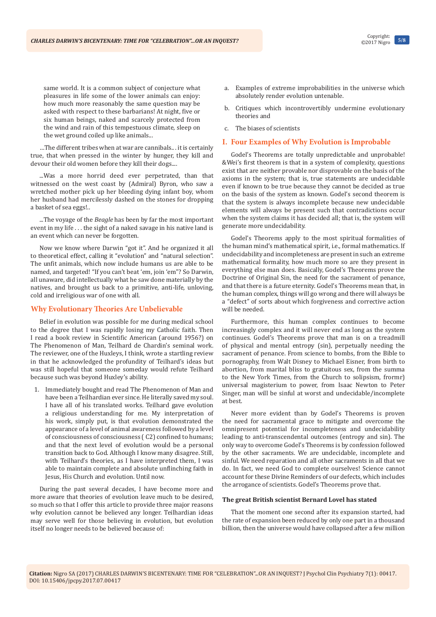same world. It is a common subject of conjecture what pleasures in life some of the lower animals can enjoy: how much more reasonably the same question may be asked with respect to these barbarians! At night, five or six human beings, naked and scarcely protected from the wind and rain of this tempestuous climate, sleep on the wet ground coiled up like animals...

…The different tribes when at war are cannibals.. . it is certainly true, that when pressed in the winter by hunger, they kill and devour their old women before they kill their dogs....

...Was a more horrid deed ever perpetrated, than that witnessed on the west coast by (Admiral) Byron, who saw a wretched mother pick up her bleeding dying infant boy, whom her husband had mercilessly dashed on the stones for dropping a basket of sea eggs!..

...The voyage of the *Beagle* has been by far the most important event in my life . . . the sight of a naked savage in his native land is an event which can never be forgotten.

Now we know where Darwin "got it". And he organized it all to theoretical effect, calling it "evolution" and "natural selection". The unfit animals, which now include humans us are able to be named, and targeted! "If you can't beat 'em, join 'em"? So Darwin, all unaware, did intellectually what he saw done materially by the natives, and brought us back to a primitive, anti-life, unloving, cold and irreligious war of one with all.

#### **Why Evolutionary Theories Are Unbelievable**

Belief in evolution was possible for me during medical school to the degree that I was rapidly losing my Catholic faith. Then I read a book review in Scientific American (around 1956?) on The Phenomenon of Man, Teilhard de Chardin's seminal work. The reviewer, one of the Huxleys, I think, wrote a startling review in that he acknowledged the profundity of Teilhard's ideas but was still hopeful that someone someday would refute Teilhard because such was beyond Huxley's ability.

1. Immediately bought and read The Phenomenon of Man and have been a Teilhardian ever since. He literally saved my soul. I have all of his translated works. Teilhard gave evolution a religious understanding for me. My interpretation of his work, simply put, is that evolution demonstrated the appearance of a level of animal awareness followed by a level of consciousness of consciousness ( C2) confined to humans; and that the next level of evolution would be a personal transition back to God. Although I know many disagree. Still, with Teilhard's theories, as I have interpreted them, I was able to maintain complete and absolute unflinching faith in Jesus, His Church and evolution. Until now.

During the past several decades, I have become more and more aware that theories of evolution leave much to be desired, so much so that I offer this article to provide three major reasons why evolution cannot be believed any longer. Teilhardian ideas may serve well for those believing in evolution, but evolution itself no longer needs to be believed because of:

- a. Examples of extreme improbabilities in the universe which absolutely render evolution untenable.
- b. Critiques which incontrovertibly undermine evolutionary theories and
- c. The biases of scientists

#### **I. Four Examples of Why Evolution is Improbable**

Godel's Theorems are totally unpredictable and unprobable! &Wei's first theorem is that in a system of complexity, questions exist that are neither provable nor disprovable on the basis of the axioms in the system; that is, true statements are undecidable even if known to be true because they cannot be decided as true on the basis of the system as known. Godel's second theorem is that the system is always incomplete because new undecidable elements will always be present such that contradictions occur when the system claims it has decided all; that is, the system will generate more undecidability.

Godel's Theorems apply to the most spiritual formalities of the human mind's mathematical spirit, i.e., formal mathematics. If undecidability and incompleteness are present in such an extreme mathematical formality, how much more so are they present in everything else man does. Basically, Godel's Theorems prove the Doctrine of Original Sin, the need for the sacrament of penance, and that there is a future eternity. Godel's Theorems mean that, in the human complex, things will go wrong and there will always be a "defect" of sorts about which forgiveness and corrective action will be needed.

Furthermore, this human complex continues to become increasingly complex and it will never end as long as the system continues. Godel's Theorems prove that man is on a treadmill of physical and mental entropy (sin), perpetually needing the sacrament of penance. From science to bombs, from the Bible to pornography, from Walt Disney to Michael Eisner, from birth to abortion, from marital bliss to gratuitous sex, from the summa to the New York Times, from the Church to solipsism, frormr) universal magisterium to power, from Isaac Newton to Peter Singer, man will be sinful at worst and undecidable/incomplete at best.

Never more evident than by Godel's Theorems is proven the need for sacramental grace to mitigate and overcome the omnipresent potential for incompleteness and undecidability leading to anti-transcendental outcomes (entropy and sin). The only way to overcome Godel's Theorems is by confession followed by the other sacraments. We are undecidable, incomplete and sinful. We need reparation and all other sacraments in all that we do. In fact, we need God to complete ourselves! Science cannot account for these Divine Reminders of our defects, which includes the arrogance of scientists. Godel's Theorems prove that.

#### **The great British scientist Bernard Lovel has stated**

That the moment one second after its expansion started, had the rate of expansion been reduced by only one part in a thousand billion, then the universe would have collapsed after a few million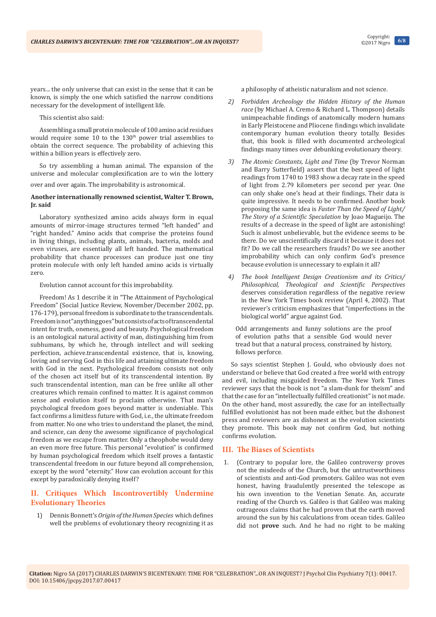years... the only universe that can exist in the sense that it can be known, is simply the one which satisfied the narrow conditions necessary for the development of intelligent life.

This scientist also said:

Assembling a small protein molecule of 100 amino acid residues would require some 10 to the  $130<sup>th</sup>$  power trial assemblies to obtain the correct sequence. The probability of achieving this within a billion years is effectively zero.

So try assembling a human animal. The expansion of the universe and molecular complexification are to win the lottery

over and over again. The improbability is astronomical.

### **Another internationally renowned scientist, Walter T. Brown, Jr. said**

Laboratory synthesized amino acids always form in equal amounts of mirror-image structures termed "left handed" and "right handed." Amino acids that comprise the proteins found in living things, including plants, animals, bacteria, molds and even viruses, are essentially all left handed. The mathematical probability that chance processes can produce just one tiny protein molecule with only left handed amino acids is virtually zero.

Evolution cannot account for this improbability.

Freedom! As 1 describe it in "The Attainment of Psychological Freedom" (Social Justice Review, November/December 2002, pp. 176-179), personal freedom is subordinate to the transcendentals. Freedom is not "anything goes" but consists of acts of transcendental intent for truth, oneness, good and beauty. Psychological freedom is an ontological natural activity of man, distinguishing him from subhumans, by which he, through intellect and will seeking perfection, achieve.transcendental existence, that is, knowing, loving and serving God in this life and attaining ultimate freedom with God in the next. Psychological freedom consists not only of the chosen act itself but of its transcendental intention. By such transcendental intention, man can be free unlike all other creatures which remain confined to matter. It is against common sense and evolution itself to proclaim otherwise. That man's psychological freedom goes beyond matter is undeniable. This fact confirms a limitless future with God, i.e., the ultimate freedom from matter. No one who tries to understand the planet, the mind, and science, can deny the awesome significance of psychological freedom as we escape from matter. Only a theophobe would deny an even more free future. This personal "evolution" is confirmed by human psychological freedom which itself proves a fantastic transcendental freedom in our future beyond all comprehension, except by the word "eternity." How can evolution account for this except by paradoxically denying itself?

# **II. Critiques Which Incontrovertibly Undermine Evolutionary Theories**

1) Dennis Bonnett's *Origin of the Human Species* which defines well the problems of evolutionary theory recognizing it as a philosophy of atheistic naturalism and not science.

- *2) Forbidden Archeology the Hidden History of the Human race* (by Michael A. Cremo & Richard L. Thompson) details unimpeachable findings of anatomically modern humans in Early Pleistocene and Pliocene findings which invalidate contemporary human evolution theory totally. Besides that, this book is filled with documented archeological findings many times over debunking evolutionary theory.
- *3) The Atomic Constants, Light and Time* (by Trevor Norman and Barry Sutterfield) assert that the best speed of light readings from 1740 to 1983 show a decay rate in the speed of light from 2.79 kilometers per second per year. One can only shake one's head at their findings. Their data is quite impressive. It needs to be confirmed. Another book proposing the same idea is *Faster Than the Speed of Light/ The Story of a Scientific Speculation* by Joao Magueijo. The results of a decrease in the speed of light are astonishing! Such is almost unbelievable, but the evidence seems to be there. Do we unscientifically discard it because it does not fit? Do we call the researchers frauds? Do we see another improbability which can only confirm God's presence because evolution is unnecessary to explain it all?
- *4) The book Intelligent Design Creationism and its Critics/ Philosophical, Theological and Scientific Perspectives* deserves consideration regardless of the negative review in the New York Times book review (April 4, 2002). That reviewer's criticism emphasizes that "imperfections in the biological world" argue against God.

Odd arrangements and funny solutions are the proof of evolution paths that a sensible God would never tread but that a natural process, constrained by history, follows perforce.

So says scientist Stephen J. Gould, who obviously does not understand or believe that God created a free world with entropy and evil, including misguided freedom. The New York Times reviewer says that the book is not "a slam-dunk for theism" and that the case for an "intellectually fulfilled creationist" is not made. On the other hand, most assuredly, the case for an intellectually fulfilled evolutionist has not been made either, but the dishonest press and reviewers are as dishonest as the evolution scientists they promote. This book may not confirm God, but nothing confirms evolution.

## **III. The Biases of Scientists**

1. (Contrary to popular lore, the Galileo controversy proves not the misdeeds of the Church, but the untrustworthiness of scientists and anti-God promoters. Galileo was not even honest, having fraudulently presented the telescope as his own invention to the Venetian Senate. An, accurate reading of the Church vs. Galileo is that Galileo was making outrageous claims that he had proven that the earth moved around the sun by his calculations from ocean tides. Galileo did not **prove** such. And he had no right to be making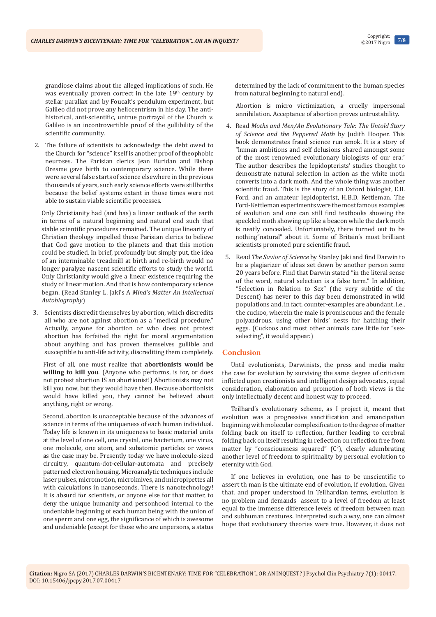grandiose claims about the alleged implications of such. He was eventually proven correct in the late 19<sup>th</sup> century by stellar parallax and by Foucalt's pendulum experiment, but Galileo did not prove any heliocentrism in his day. The antihistorical, anti-scientific, untrue portrayal of the Church v. Galileo is an incontrovertible proof of the gullibility of the scientific community.

2. The failure of scientists to acknowledge the debt owed to the Church for "science" itself is another proof of theophobic neuroses. The Parisian clerics Jean Buridan and Bishop Oresme gave birth to contemporary science. While there were several false starts of science elsewhere in the previous thousands of years, such early science efforts were stillbirths because the belief systems extant in those times were not able to sustain viable scientific processes.

Only Christianity had (and has) a linear outlook of the earth in terms of a natural beginning and natural end such that stable scientific procedures remained. The unique linearity of Christian theology impelled these Parisian clerics to believe that God gave motion to the planets and that this motion could be studied. In brief, profoundly but simply put, the idea of an interminable treadmill at birth and re-birth would no longer paralyze nascent scientific efforts to study the world. Only Christianity would give a linear existence requiring the study of linear motion. And that is how contemporary science began. (Read Stanley L. Jaki's A *Mind's Matter An Intellectual Autobiography*)

3. Scientists discredit themselves by abortion, which discredits all who are not against abortion as a "medical procedure." Actually, anyone for abortion or who does not protest abortion has forfeited the right for moral argumentation about anything and has proven themselves gullible and susceptible to anti-life activity, discrediting them completely.

First of all, one must realize that **abortionists would be willing to kill you**. (Anyone who performs, is for, or does not protest abortion IS an abortionist!) Abortionists may not kill you now, but they would have then. Because abortionists would have killed you, they cannot be believed about anything, right or wrong.

Second, abortion is unacceptable because of the advances of science in terms of the uniqueness of each human individual. Today life is known in its uniqueness to basic material units at the level of one cell, one crystal, one bacterium, one virus, one molecule, one atom, and subatomic particles or waves as the case may be. Presently today we have molecule-sized circuitry, quantum-dot-cellular-automata and precisely patterned electron housing. Microanalytic techniques include laser pulses, micromotion, microknives, and micropipettes all with calculations in nanoseconds. There is nanotechnology! It is absurd for scientists, or anyone else for that matter, to deny the unique humanity and personhood internal to the undeniable beginning of each human being with the union of one sperm and one egg, the significance of which is awesome and undeniable (except for those who are unpersons, a status

determined by the lack of commitment to the human species from natural beginning to natural end).

Abortion is micro victimization, a cruelly impersonal annihilation. Acceptance of abortion proves untrustability.

- 4. Read *Moths and Men/An Evolutionary Tale: The Untold Story of Science and the Peppered Moth* by Judith Hooper. This book demonstrates fraud science run amok. It is a story of "human ambitions and self delusions shared amongst some of the most renowned evolutionary biologists of our era." The author describes the lepidopterists' studies thought to demonstrate natural selection in action as the white moth converts into a dark moth. And the whole thing was another scientific fraud. This is the story of an Oxford biologist, E.B. Ford, and an amateur lepidopterist, H.B.D. Kettleman. The Ford-Kettleman experiments were the most famous examples of evolution and one can still find textbooks showing the speckled moth showing up like a beacon while the dark moth is neatly concealed. Unfortunately, there turned out to be nothing"natural" about it. Some of Britain's most brilliant scientists promoted pure scientific fraud.
- 5. Read *The Savior of Science* by Stanley Jaki and find Darwin to be a plagiarizer of ideas set down by another person some 20 years before. Find that Darwin stated "in the literal sense of the word, natural selection is a false term." In addition, "Selection in Relation to Sex" (the very subtitle of the Descent) has never to this day been demonstrated in wild populations and, in fact, counter-examples are abundant, i.e., the cuckoo, wherein the male is promiscuous and the female polyandrous, using other birds' nests for hatching their eggs. (Cuckoos and most other animals care little for "sexselecting", it would appear.)

#### **Conclusion**

Until evolutionists, Darwinists, the press and media make the case for evolution by surviving the same degree of criticism inflicted upon creationists and intelligent design advocates, equal consideration, elaboration and promotion of both views is the only intellectually decent and honest way to proceed.

Teilhard's evolutionary scheme, as I project it, meant that evolution was a progressive sanctification and emancipation beginning with molecular complexification to the degree of matter folding back on itself to reflection, further leading to cerebral folding back on itself resulting in reflection on reflection free from matter by "consciousness squared"  $(C<sup>2</sup>)$ , clearly adumbrating another level of freedom to spirituality by personal evolution to eternity with God.

If one believes in evolution, one has to be unscientific to assert th man is the ultimate end of evolution, if evolution. Given that, and proper understood in Teilhardian terms, evolution is no problem and demands assent to a level of freedom at least equal to the immense difference levels of freedom between man and subhuman creatures. Interpreted such a way, one can almost hope that evolutionary theories were true. However, it does not